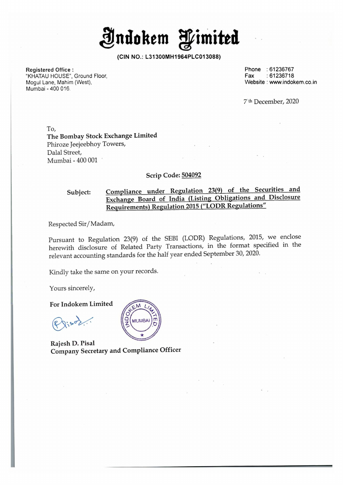AIndokem Himited

(CIN NO.: L31300MH1964PLC013088)

Registered Office :

"KHATAU HOUSE", Ground Floor, Mogul Lane, Mahim (West), Mogul Lane, Mahim (West), www.indokem.co.in<br>Mumbai - 400 016. Website : www.indokem.co.in

Phone : 61236767 Fax : 61236718

7'tk December, 2020

'To, The Bombay Stock Exchange Limited Phiroze Jeejeebhoy Towers, Dalal Street, Mumbai - 400 001

#### Scrip Code: 504092

## Subject: Compliance under Regulation 23(9) of the Securities and Exchange Board of India (Listing Obligations and Disclosure Requirements) Regulation 2015 ("LODR Regulations"

Respected Sir/ Madam,

Pursuant to Regulation 23(9) of the SEBI (LODR) Regulations, 2015, we enclose herewith disclosure of Related Party Transactions, in the format specified in the relevant accounting standards for the half year ended September 30, 2020.

Kindly take the same on your records.

Yours sincerely,

For Indokem Limited

 $\mathbb{R}^{\star}$  $Q_{s,s}$ 

**MUMBA** 

Rajesh D. Pisal Company Secretary and Compliance Officer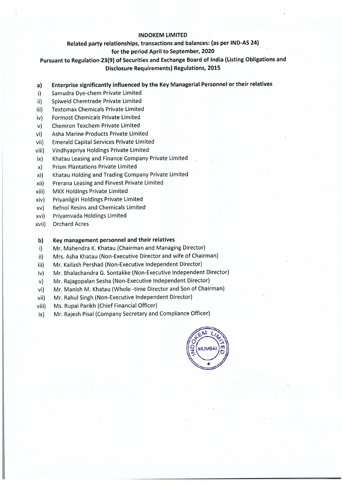#### **INDOKEM LIMITED**

## **Related party relationships, transactions and balances: (as per IND-AS 24)**

#### **for the period April to September, 2020**

## **Pursuant to Regulation 23(9) of Securities and Exchange Board of India (Listing Obligations and Disclosure Requirements) Regulations, 2015**

- **a) Enterprise significantly influenced by the Key Managerial Personnel or their relatives**
- i) Samudra Dye-chem Private Limited
- ii) Spiweld Chemtrade Private Limited
- iii) Textomax Chemicals Private Limited
- iv) Formost Chemicals Private Limited
- v) Chemron Texchem Private Limited
- vi) Asha Marine Products Private Limited
- vii) Emerald Capital Services Private Limited
- viii) Vindhyapriya Holdings Private Limited
- ix) Khatau Leasing and Finance Company Private Limited
- x) Prism Plantations Private Limited
- xi) Khatau Holding arid Trading Company Private Limited
- xii) Prerana Leasing and Finvest Private Limited
- xiii) MKK Holdings Private Limited
- xiv) Priyanilgiri Holdings Private Limited
- xv) Refnol Resins and Chemicals Limited
- xvi) Priyamvada Holdings Limited
- xvii) Orchard Acres

#### **b) Key management personnel and their relatives**

- i) Mr. Mahendra K. Khatau (Chairman and Managing Director)
- ii) Mrs. Asha Khatau (Non-Executive Director and wife of Chairman)
- iii) Mr. Kailash Pershad (Non-Executive Independent Director)
- iv) Mr. Bhalachandra G. Sontakke (Non-Executive Independent Director)
- v) Mr. Rajagopalan Sesha (Non-Executive Independent Director)
- vi) Mr. Manish M. Khatau (Whole -time Director and Son of Chairman)
- vii) Mr. Rahul Singh (Non-Executive Independent Director)
- viii) Ms. Rupal Parikh (Chief Financial Officer)
- ix) Mr. Rajesh Pisal (Company Secretary and Compliance Officer)

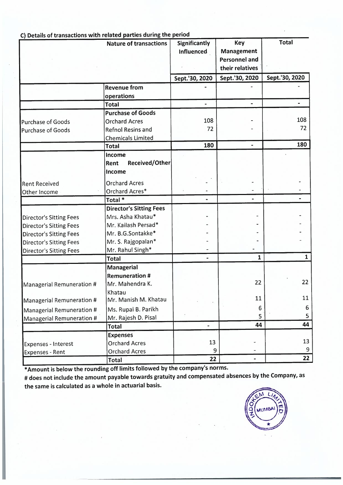| C) Details of transactions with related parties during the period | <b>Nature of transactions</b>  | <b>Significantly</b><br>Influenced | <b>Key</b><br>Management<br><b>Personnel and</b><br>their relatives | <b>Total</b>   |
|-------------------------------------------------------------------|--------------------------------|------------------------------------|---------------------------------------------------------------------|----------------|
|                                                                   |                                | Sept.'30, 2020                     | Sept.'30, 2020                                                      | Sept.'30, 2020 |
|                                                                   | <b>Revenue from</b>            |                                    |                                                                     |                |
|                                                                   | operations                     |                                    |                                                                     |                |
|                                                                   | <b>Total</b>                   | $\ddot{\phantom{a}}$               |                                                                     |                |
|                                                                   | <b>Purchase of Goods</b>       |                                    |                                                                     |                |
| Purchase of Goods                                                 | <b>Orchard Acres</b>           | 108                                |                                                                     | 108            |
| <b>Purchase of Goods</b>                                          | <b>Refnol Resins and</b>       | 72                                 |                                                                     | 72             |
|                                                                   | <b>Chemicals Limited</b>       |                                    |                                                                     |                |
|                                                                   | <b>Total</b>                   | 180                                |                                                                     | 180            |
|                                                                   | Income                         |                                    |                                                                     |                |
|                                                                   | <b>Received/Other</b><br>Rent  |                                    |                                                                     |                |
|                                                                   | Income                         |                                    |                                                                     |                |
| <b>Rent Received</b>                                              | <b>Orchard Acres</b>           |                                    |                                                                     |                |
| Other Income                                                      | Orchard Acres*                 |                                    |                                                                     |                |
|                                                                   | Total <sup>*</sup>             |                                    |                                                                     |                |
|                                                                   | <b>Director's Sitting Fees</b> |                                    |                                                                     |                |
| <b>Director's Sitting Fees</b>                                    | Mrs. Asha Khatau*              |                                    |                                                                     |                |
| <b>Director's Sitting Fees</b>                                    | Mr. Kailash Persad*            |                                    |                                                                     |                |
| <b>Director's Sitting Fees</b>                                    | Mr. B.G.Sontakke*              |                                    |                                                                     |                |
| <b>Director's Sitting Fees</b>                                    | Mr. S. Rajgopalan*             |                                    |                                                                     |                |
| <b>Director's Sitting Fees</b>                                    | Mr. Rahul Singh*               |                                    |                                                                     |                |
|                                                                   | <b>Total</b>                   | ۰                                  | $\mathbf{1}$                                                        | $\mathbf{1}$   |
|                                                                   | <b>Managerial</b>              |                                    |                                                                     |                |
|                                                                   | <b>Remuneration #</b>          |                                    |                                                                     |                |
| Managerial Remuneration #                                         | Mr. Mahendra K.                |                                    | 22                                                                  | 22             |
|                                                                   | Khatau                         |                                    |                                                                     |                |
| Managerial Remuneration #                                         | Mr. Manish M. Khatau           |                                    | 11                                                                  | 11             |
| Managerial Remuneration #                                         | Ms. Rupal B. Parikh            |                                    | 6                                                                   | 6              |
| Managerial Remuneration #                                         | Mr. Rajesh D. Pisal            |                                    | 5                                                                   | 5              |
|                                                                   | <b>Total</b>                   | ÷.                                 | 44                                                                  | 44             |
|                                                                   | <b>Expenses</b>                |                                    |                                                                     |                |
| <b>Expenses - Interest</b>                                        | <b>Orchard Acres</b>           | 13                                 |                                                                     | 13             |
| <b>Expenses - Rent</b>                                            | <b>Orchard Acres</b>           | 9                                  |                                                                     | 9              |
|                                                                   | <b>Total</b>                   | 22                                 | $\blacksquare$                                                      | 22             |

## C) Details of transactions with related parties during the period

\*Amount is below the rounding off limits followed by the company's norms.

# does not include the amount payable towards gratuity and compensated absences by the Company, as the same is calculated as a whole in actuarial basis.

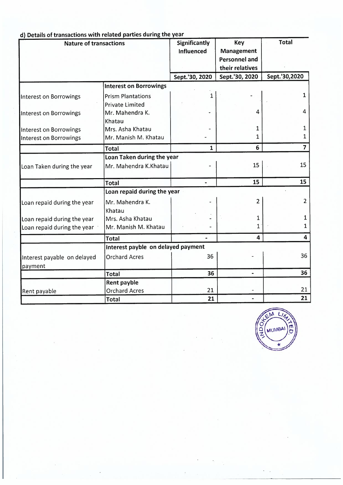| <b>Nature of transactions</b>          |                                                    | <b>Significantly</b><br>Influenced | <b>Key</b><br>Management<br><b>Personnel and</b><br>their relatives | <b>Total</b>   |
|----------------------------------------|----------------------------------------------------|------------------------------------|---------------------------------------------------------------------|----------------|
|                                        |                                                    | Sept.'30, 2020                     | Sept.'30, 2020                                                      | Sept.'30,2020  |
|                                        | <b>Interest on Borrowings</b>                      |                                    |                                                                     |                |
| Interest on Borrowings                 | <b>Prism Plantations</b><br><b>Private Limited</b> | $\mathbf{1}$                       |                                                                     | $\mathbf{1}$   |
| Interest on Borrowings                 | Mr. Mahendra K.<br>Khatau                          |                                    | 4                                                                   | 4              |
| Interest on Borrowings                 | Mrs. Asha Khatau                                   |                                    | 1                                                                   | 1              |
| Interest on Borrowings                 | Mr. Manish M. Khatau                               |                                    | $\mathbf{1}$                                                        | 1              |
|                                        | <b>Total</b>                                       | $\mathbf{1}$                       | 6                                                                   | 7              |
|                                        | Loan Taken during the year                         |                                    |                                                                     |                |
| Loan Taken during the year             | Mr. Mahendra K.Khatau                              |                                    | 15                                                                  | 15             |
|                                        | <b>Total</b>                                       |                                    | 15                                                                  | 15             |
|                                        | Loan repaid during the year                        |                                    |                                                                     |                |
| Loan repaid during the year            | Mr. Mahendra K.<br>Khatau                          |                                    | 2                                                                   | $\overline{2}$ |
| Loan repaid during the year            | Mrs. Asha Khatau                                   |                                    | 1                                                                   | 1              |
| Loan repaid during the year            | Mr. Manish M. Khatau                               |                                    | $\mathbf{1}$                                                        | 1              |
|                                        | <b>Total</b>                                       |                                    | 4                                                                   | 4              |
|                                        | Interest payble on delayed payment                 |                                    |                                                                     |                |
| Interest payable on delayed<br>payment | <b>Orchard Acres</b>                               | 36                                 |                                                                     | 36             |
|                                        | <b>Total</b>                                       | 36                                 | $\blacksquare$                                                      | 36             |
|                                        | Rent payble                                        | 21                                 |                                                                     | 21             |
| Rent payable                           | <b>Orchard Acres</b><br><b>Total</b>               | 21                                 |                                                                     | 21             |

### d) Details of transactions with related parties during the year

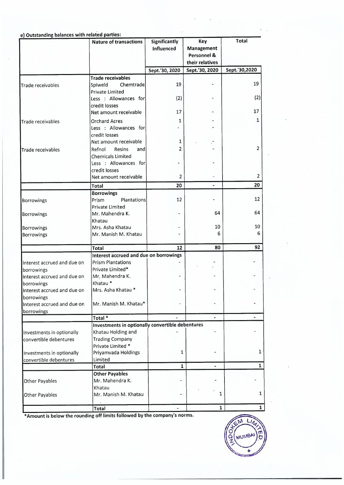|                             | e) Outstanding balances with related parties:<br><b>Nature of transactions</b> | Significantly     | <b>Key</b>                        | Total                   |
|-----------------------------|--------------------------------------------------------------------------------|-------------------|-----------------------------------|-------------------------|
|                             |                                                                                | <b>Influenced</b> | Management<br>Personnel &         |                         |
|                             |                                                                                | Sept.'30, 2020    | their relatives<br>Sept.'30, 2020 | Sept.'30,2020           |
|                             |                                                                                |                   |                                   |                         |
|                             | <b>Trade receivables</b>                                                       |                   |                                   |                         |
| <b>Trade receivables</b>    | Chemtrade<br>Spiweld                                                           | 19                |                                   | 19                      |
|                             | <b>Private Limited</b>                                                         |                   |                                   |                         |
|                             | Less : Allowances for                                                          | (2)               |                                   | (2)                     |
|                             | credit losses                                                                  |                   |                                   |                         |
|                             | Net amount receivable                                                          | 17                |                                   | 17                      |
| <b>Trade receivables</b>    | <b>Orchard Acres</b>                                                           | $\mathbf{1}$      |                                   | $\mathbf{1}$            |
|                             | Less : Allowances for                                                          |                   |                                   |                         |
|                             | credit losses                                                                  |                   |                                   |                         |
|                             | Net amount receivable                                                          | 1                 |                                   |                         |
| Trade receivables           | Resins<br>Refnol<br>andl                                                       | $\overline{2}$    |                                   | $\overline{\mathbf{c}}$ |
|                             | Chemicals Limited                                                              |                   |                                   |                         |
|                             | Less : Allowances for                                                          |                   |                                   |                         |
|                             | credit losses                                                                  |                   |                                   |                         |
|                             | Net amount receivable                                                          | $\overline{2}$    |                                   | 2                       |
|                             | Total                                                                          | 20                | $\blacksquare$                    | 20                      |
|                             | <b>Borrowings</b>                                                              |                   |                                   |                         |
| Borrowings                  | <b>Plantations</b><br>Prism                                                    | 12                |                                   | 12                      |
|                             | Private Limited                                                                |                   |                                   |                         |
| Borrowings                  | Mr. Mahendra K.                                                                |                   | 64                                | 64                      |
|                             | Khatau                                                                         |                   |                                   |                         |
| <b>Borrowings</b>           | Mrs. Asha Khatau                                                               |                   | 10                                | 10                      |
| Borrowings                  | Mr. Manish M. Khatau                                                           |                   | 6                                 | 6                       |
|                             | <b>Total</b>                                                                   | 12                | 80                                | 92                      |
|                             | Interest accrued and due on borrowings                                         |                   |                                   |                         |
| Interest accrued and due on | <b>Prism Plantations</b>                                                       |                   |                                   |                         |
| borrowings                  | Private Limited*                                                               |                   |                                   |                         |
| Interest accrued and due on | Mr. Mahendra K.                                                                |                   |                                   |                         |
| borrowings                  | Khatau <sup>*</sup>                                                            |                   |                                   |                         |
| Interest accrued and due on | Mrs. Asha Khatau*                                                              |                   |                                   |                         |
| borrowings                  |                                                                                |                   |                                   |                         |
| Interest accrued and due on | Mr. Manish M. Khatau*                                                          |                   |                                   |                         |
| borrowings                  |                                                                                |                   |                                   |                         |
|                             | Total <sup>*</sup>                                                             |                   | $\blacksquare$                    |                         |
|                             | Investments in optionally convertible debentures                               |                   |                                   |                         |
| Investments in optionally   | Khatau Holding and<br><b>Trading Company</b>                                   |                   |                                   |                         |
| convertible debentures      | Private Limited *                                                              |                   |                                   |                         |
| Investments in optionally   | Priyamvada Holdings                                                            | 1                 |                                   | $\mathbf{1}$            |
| convertible debentures      | Limited                                                                        |                   |                                   |                         |
|                             | Total                                                                          | $\mathbf{1}$      |                                   | $\mathbf{1}$            |
|                             | <b>Other Payables</b>                                                          |                   |                                   |                         |
| Other Payables              | Mr. Mahendra K.                                                                |                   |                                   |                         |
|                             | Khatau                                                                         |                   |                                   |                         |
| Other Payables              | Mr. Manish M. Khatau                                                           |                   | 1                                 | $\mathbf{1}$            |
|                             |                                                                                |                   |                                   |                         |
|                             | Total                                                                          |                   | $\mathbf{1}$                      | $\mathbf{1}$            |

\* Amount is below the rounding off limits followed by the company's norms.